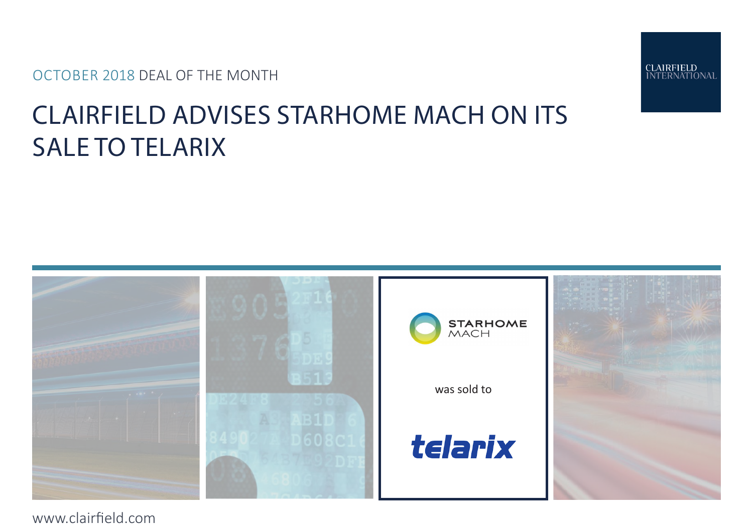OCTOBER 2018 DEAL OF THE MONTH







www.clairfield.com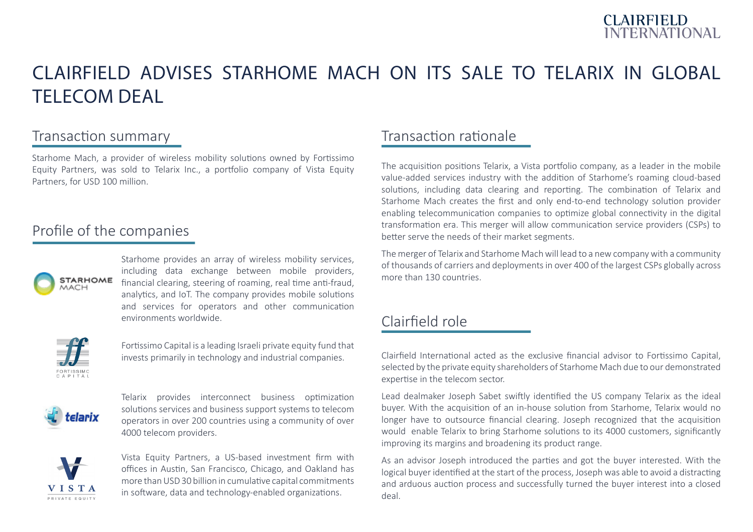

# CLAIRFIELD ADVISES STARHOME MACH ON ITS SALE TO TELARIX IN GLOBAL TELECOM DEAL

### Transaction summary

Starhome Mach, a provider of wireless mobility solutions owned by Fortissimo Equity Partners, was sold to Telarix Inc., a portfolio company of Vista Equity Partners, for USD 100 million.

#### Profile of the companies



Starhome provides an array of wireless mobility services, including data exchange between mobile providers, financial clearing, steering of roaming, real time anti-fraud, analytics, and IoT. The company provides mobile solutions and services for operators and other communication environments worldwide.



Fortissimo Capital is a leading Israeli private equity fund that invests primarily in technology and industrial companies.



Telarix provides interconnect business optimization solutions services and business support systems to telecom operators in over 200 countries using a community of over 4000 telecom providers.



Vista Equity Partners, a US-based investment firm with offices in Austin, San Francisco, Chicago, and Oakland has more than USD 30 billion in cumulative capital commitments in software, data and technology-enabled organizations.

## Transaction rationale

The acquisition positions Telarix, a Vista portfolio company, as a leader in the mobile value-added services industry with the addition of Starhome's roaming cloud-based solutions, including data clearing and reporting. The combination of Telarix and Starhome Mach creates the first and only end-to-end technology solution provider enabling telecommunication companies to optimize global connectivity in the digital transformation era. This merger will allow communication service providers (CSPs) to better serve the needs of their market segments.

The merger of Telarix and Starhome Mach will lead to a new company with a community of thousands of carriers and deployments in over 400 of the largest CSPs globally across more than 130 countries.

## Clairfield role

Clairfield International acted as the exclusive financial advisor to Fortissimo Capital, selected by the private equity shareholders of Starhome Mach due to our demonstrated expertise in the telecom sector.

Lead dealmaker Joseph Sabet swiftly identified the US company Telarix as the ideal buyer. With the acquisition of an in-house solution from Starhome, Telarix would no longer have to outsource financial clearing. Joseph recognized that the acquisition would enable Telarix to bring Starhome solutions to its 4000 customers, significantly improving its margins and broadening its product range.

As an advisor Joseph introduced the parties and got the buyer interested. With the logical buyer identified at the start of the process, Joseph was able to avoid a distracting and arduous auction process and successfully turned the buyer interest into a closed deal.